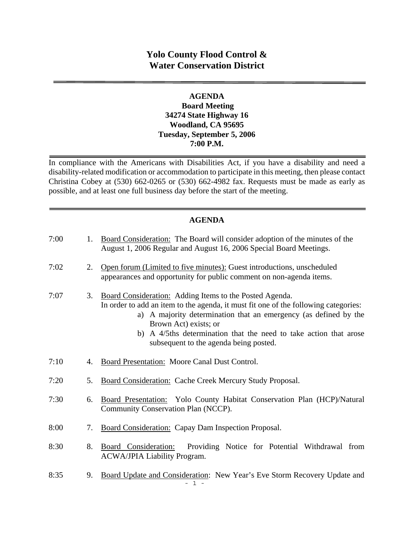# **Yolo County Flood Control & Water Conservation District**

## **AGENDA Board Meeting 34274 State Highway 16 Woodland, CA 95695 Tuesday, September 5, 2006 7:00 P.M.**

In compliance with the Americans with Disabilities Act, if you have a disability and need a disability-related modification or accommodation to participate in this meeting, then please contact Christina Cobey at (530) 662-0265 or (530) 662-4982 fax. Requests must be made as early as possible, and at least one full business day before the start of the meeting.

## **AGENDA**

| 7:00 | 1. | Board Consideration: The Board will consider adoption of the minutes of the<br>August 1, 2006 Regular and August 16, 2006 Special Board Meetings.                                                                                                                                                                                                          |
|------|----|------------------------------------------------------------------------------------------------------------------------------------------------------------------------------------------------------------------------------------------------------------------------------------------------------------------------------------------------------------|
| 7:02 | 2. | Open forum (Limited to five minutes): Guest introductions, unscheduled<br>appearances and opportunity for public comment on non-agenda items.                                                                                                                                                                                                              |
| 7:07 | 3. | Board Consideration: Adding Items to the Posted Agenda.<br>In order to add an item to the agenda, it must fit one of the following categories:<br>a) A majority determination that an emergency (as defined by the<br>Brown Act) exists; or<br>b) A 4/5ths determination that the need to take action that arose<br>subsequent to the agenda being posted. |
| 7:10 | 4. | Board Presentation: Moore Canal Dust Control.                                                                                                                                                                                                                                                                                                              |
| 7:20 | 5. | Board Consideration: Cache Creek Mercury Study Proposal.                                                                                                                                                                                                                                                                                                   |
| 7:30 | 6. | Board Presentation: Yolo County Habitat Conservation Plan (HCP)/Natural<br>Community Conservation Plan (NCCP).                                                                                                                                                                                                                                             |
| 8:00 | 7. | Board Consideration: Capay Dam Inspection Proposal.                                                                                                                                                                                                                                                                                                        |
| 8:30 | 8. | Board Consideration:<br>Providing Notice for Potential Withdrawal from<br><b>ACWA/JPIA Liability Program.</b>                                                                                                                                                                                                                                              |
| 8:35 | 9. | Board Update and Consideration: New Year's Eve Storm Recovery Update and<br>- 1 -                                                                                                                                                                                                                                                                          |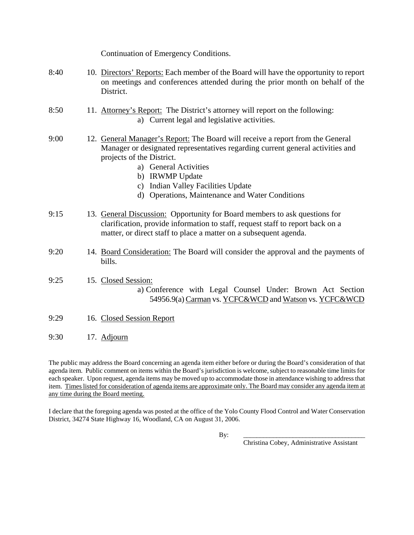|      | Continuation of Emergency Conditions.                                                                                                                                                                                                                                                                                              |
|------|------------------------------------------------------------------------------------------------------------------------------------------------------------------------------------------------------------------------------------------------------------------------------------------------------------------------------------|
| 8:40 | 10. Directors' Reports: Each member of the Board will have the opportunity to report<br>on meetings and conferences attended during the prior month on behalf of the<br>District.                                                                                                                                                  |
| 8:50 | 11. Attorney's Report: The District's attorney will report on the following:<br>a) Current legal and legislative activities.                                                                                                                                                                                                       |
| 9:00 | 12. General Manager's Report: The Board will receive a report from the General<br>Manager or designated representatives regarding current general activities and<br>projects of the District.<br>a) General Activities<br>b) IRWMP Update<br>c) Indian Valley Facilities Update<br>d) Operations, Maintenance and Water Conditions |
| 9:15 | 13. General Discussion: Opportunity for Board members to ask questions for<br>clarification, provide information to staff, request staff to report back on a<br>matter, or direct staff to place a matter on a subsequent agenda.                                                                                                  |
| 9:20 | 14. Board Consideration: The Board will consider the approval and the payments of<br>bills.                                                                                                                                                                                                                                        |
| 9:25 | 15. Closed Session:<br>a) Conference with Legal Counsel Under: Brown Act Section<br>54956.9(a) Carman vs. YCFC&WCD and Watson vs. YCFC&WCD                                                                                                                                                                                         |
| 9:29 | 16. Closed Session Report                                                                                                                                                                                                                                                                                                          |
| 9:30 | 17. Adjourn                                                                                                                                                                                                                                                                                                                        |

The public may address the Board concerning an agenda item either before or during the Board's consideration of that agenda item. Public comment on items within the Board's jurisdiction is welcome, subject to reasonable time limits for each speaker. Upon request, agenda items may be moved up to accommodate those in attendance wishing to address that item. Times listed for consideration of agenda items are approximate only. The Board may consider any agenda item at any time during the Board meeting.

I declare that the foregoing agenda was posted at the office of the Yolo County Flood Control and Water Conservation District, 34274 State Highway 16, Woodland, CA on August 31, 2006.

By: \_\_\_\_\_\_\_\_\_\_\_\_\_\_\_\_\_\_\_\_\_\_\_\_\_\_\_\_\_\_\_\_\_\_\_\_\_

Christina Cobey, Administrative Assistant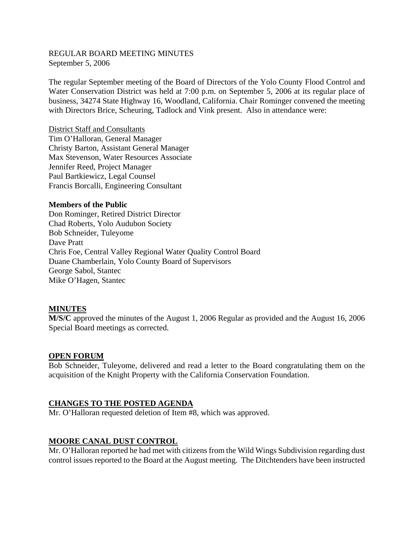## REGULAR BOARD MEETING MINUTES September 5, 2006

The regular September meeting of the Board of Directors of the Yolo County Flood Control and Water Conservation District was held at 7:00 p.m. on September 5, 2006 at its regular place of business, 34274 State Highway 16, Woodland, California. Chair Rominger convened the meeting with Directors Brice, Scheuring, Tadlock and Vink present. Also in attendance were:

District Staff and Consultants Tim O'Halloran, General Manager Christy Barton, Assistant General Manager Max Stevenson, Water Resources Associate Jennifer Reed, Project Manager Paul Bartkiewicz, Legal Counsel Francis Borcalli, Engineering Consultant

#### **Members of the Public**

Don Rominger, Retired District Director Chad Roberts, Yolo Audubon Society Bob Schneider, Tuleyome Dave Pratt Chris Foe, Central Valley Regional Water Quality Control Board Duane Chamberlain, Yolo County Board of Supervisors George Sabol, Stantec Mike O'Hagen, Stantec

#### **MINUTES**

**M/S/C** approved the minutes of the August 1, 2006 Regular as provided and the August 16, 2006 Special Board meetings as corrected.

#### **OPEN FORUM**

Bob Schneider, Tuleyome, delivered and read a letter to the Board congratulating them on the acquisition of the Knight Property with the California Conservation Foundation.

#### **CHANGES TO THE POSTED AGENDA**

Mr. O'Halloran requested deletion of Item #8, which was approved.

#### **MOORE CANAL DUST CONTROL**

Mr. O'Halloran reported he had met with citizens from the Wild Wings Subdivision regarding dust control issues reported to the Board at the August meeting. The Ditchtenders have been instructed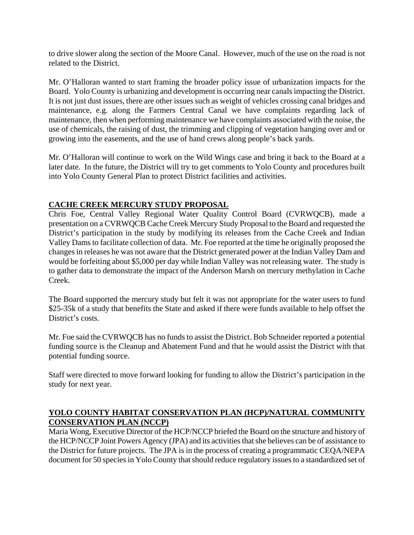to drive slower along the section of the Moore Canal. However, much of the use on the road is not related to the District.

Mr. O'Halloran wanted to start framing the broader policy issue of urbanization impacts for the Board. Yolo County is urbanizing and development is occurring near canals impacting the District. It is not just dust issues, there are other issues such as weight of vehicles crossing canal bridges and maintenance, e.g. along the Farmers Central Canal we have complaints regarding lack of maintenance, then when performing maintenance we have complaints associated with the noise, the use of chemicals, the raising of dust, the trimming and clipping of vegetation hanging over and or growing into the easements, and the use of hand crews along people's back yards.

Mr. O'Halloran will continue to work on the Wild Wings case and bring it back to the Board at a later date. In the future, the District will try to get comments to Yolo County and procedures built into Yolo County General Plan to protect District facilities and activities.

## **CACHE CREEK MERCURY STUDY PROPOSAL**

Chris Foe, Central Valley Regional Water Quality Control Board (CVRWQCB), made a presentation on a CVRWQCB Cache Creek Mercury Study Proposal to the Board and requested the District's participation in the study by modifying its releases from the Cache Creek and Indian Valley Dams to facilitate collection of data. Mr. Foe reported at the time he originally proposed the changes in releases he was not aware that the District generated power at the Indian Valley Dam and would be forfeiting about \$5,000 per day while Indian Valley was not releasing water. The study is to gather data to demonstrate the impact of the Anderson Marsh on mercury methylation in Cache Creek.

The Board supported the mercury study but felt it was not appropriate for the water users to fund \$25-35k of a study that benefits the State and asked if there were funds available to help offset the District's costs.

Mr. Foe said the CVRWQCB has no funds to assist the District. Bob Schneider reported a potential funding source is the Cleanup and Abatement Fund and that he would assist the District with that potential funding source.

Staff were directed to move forward looking for funding to allow the District's participation in the study for next year.

## **YOLO COUNTY HABITAT CONSERVATION PLAN (HCP)/NATURAL COMMUNITY CONSERVATION PLAN (NCCP)**

Maria Wong, Executive Director of the HCP/NCCP briefed the Board on the structure and history of the HCP/NCCP Joint Powers Agency (JPA) and its activities that she believes can be of assistance to the District for future projects. The JPA is in the process of creating a programmatic CEQA/NEPA document for 50 species in Yolo County that should reduce regulatory issues to a standardized set of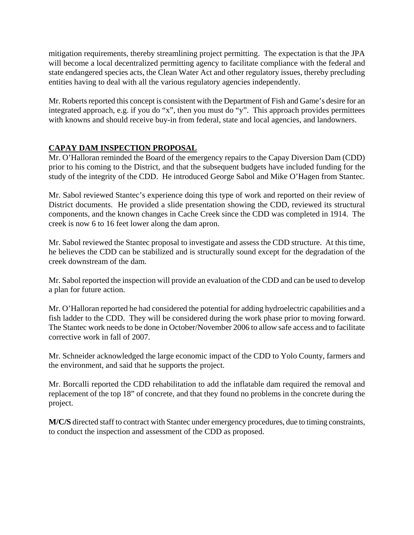mitigation requirements, thereby streamlining project permitting. The expectation is that the JPA will become a local decentralized permitting agency to facilitate compliance with the federal and state endangered species acts, the Clean Water Act and other regulatory issues, thereby precluding entities having to deal with all the various regulatory agencies independently.

Mr. Roberts reported this concept is consistent with the Department of Fish and Game's desire for an integrated approach, e.g. if you do "x", then you must do "y". This approach provides permittees with knowns and should receive buy-in from federal, state and local agencies, and landowners.

## **CAPAY DAM INSPECTION PROPOSAL**

Mr. O'Halloran reminded the Board of the emergency repairs to the Capay Diversion Dam (CDD) prior to his coming to the District, and that the subsequent budgets have included funding for the study of the integrity of the CDD. He introduced George Sabol and Mike O'Hagen from Stantec.

Mr. Sabol reviewed Stantec's experience doing this type of work and reported on their review of District documents. He provided a slide presentation showing the CDD, reviewed its structural components, and the known changes in Cache Creek since the CDD was completed in 1914. The creek is now 6 to 16 feet lower along the dam apron.

Mr. Sabol reviewed the Stantec proposal to investigate and assess the CDD structure. At this time, he believes the CDD can be stabilized and is structurally sound except for the degradation of the creek downstream of the dam.

Mr. Sabol reported the inspection will provide an evaluation of the CDD and can be used to develop a plan for future action.

Mr. O'Halloran reported he had considered the potential for adding hydroelectric capabilities and a fish ladder to the CDD. They will be considered during the work phase prior to moving forward. The Stantec work needs to be done in October/November 2006 to allow safe access and to facilitate corrective work in fall of 2007.

Mr. Schneider acknowledged the large economic impact of the CDD to Yolo County, farmers and the environment, and said that he supports the project.

Mr. Borcalli reported the CDD rehabilitation to add the inflatable dam required the removal and replacement of the top 18" of concrete, and that they found no problems in the concrete during the project.

**M/C/S** directed staff to contract with Stantec under emergency procedures, due to timing constraints, to conduct the inspection and assessment of the CDD as proposed.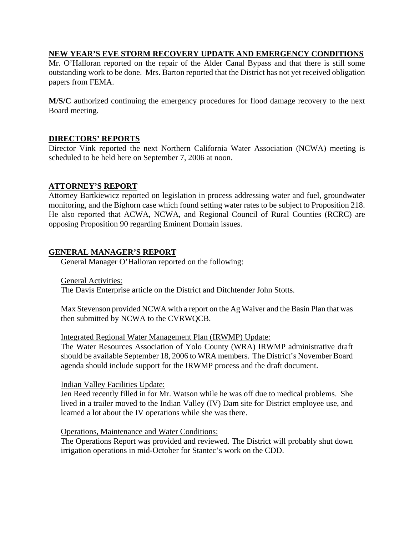## **NEW YEAR'S EVE STORM RECOVERY UPDATE AND EMERGENCY CONDITIONS**

Mr. O'Halloran reported on the repair of the Alder Canal Bypass and that there is still some outstanding work to be done. Mrs. Barton reported that the District has not yet received obligation papers from FEMA.

**M/S/C** authorized continuing the emergency procedures for flood damage recovery to the next Board meeting.

## **DIRECTORS' REPORTS**

Director Vink reported the next Northern California Water Association (NCWA) meeting is scheduled to be held here on September 7, 2006 at noon.

## **ATTORNEY'S REPORT**

Attorney Bartkiewicz reported on legislation in process addressing water and fuel, groundwater monitoring, and the Bighorn case which found setting water rates to be subject to Proposition 218. He also reported that ACWA, NCWA, and Regional Council of Rural Counties (RCRC) are opposing Proposition 90 regarding Eminent Domain issues.

## **GENERAL MANAGER'S REPORT**

General Manager O'Halloran reported on the following:

General Activities:

The Davis Enterprise article on the District and Ditchtender John Stotts.

Max Stevenson provided NCWA with a report on the Ag Waiver and the Basin Plan that was then submitted by NCWA to the CVRWQCB.

#### Integrated Regional Water Management Plan (IRWMP) Update:

The Water Resources Association of Yolo County (WRA) IRWMP administrative draft should be available September 18, 2006 to WRA members. The District's November Board agenda should include support for the IRWMP process and the draft document.

#### Indian Valley Facilities Update:

Jen Reed recently filled in for Mr. Watson while he was off due to medical problems. She lived in a trailer moved to the Indian Valley (IV) Dam site for District employee use, and learned a lot about the IV operations while she was there.

#### Operations, Maintenance and Water Conditions:

The Operations Report was provided and reviewed. The District will probably shut down irrigation operations in mid-October for Stantec's work on the CDD.